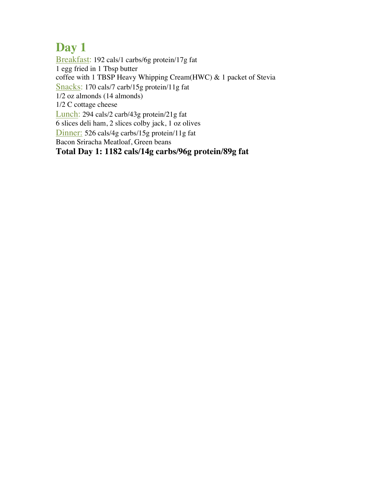Breakfast: 192 cals/1 carbs/6g protein/17g fat 1 egg fried in 1 Tbsp butter coffee with 1 TBSP Heavy Whipping Cream(HWC) & 1 packet of Stevia Snacks: 170 cals/7 carb/15g protein/11g fat 1/2 oz almonds (14 almonds) 1/2 C cottage cheese Lunch: 294 cals/2 carb/43g protein/21g fat 6 slices deli ham, 2 slices colby jack, 1 oz olives Dinner: 526 cals/4g carbs/15g protein/11g fat Bacon Sriracha Meatloaf, Green beans

**Total Day 1: 1182 cals/14g carbs/96g protein/89g fat**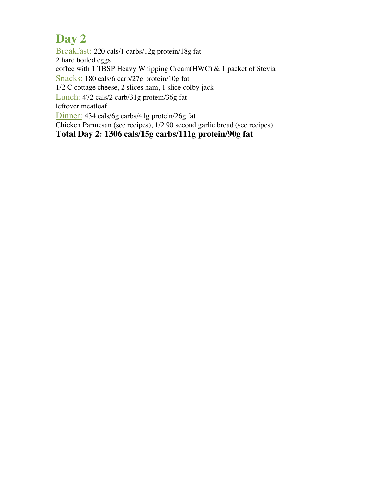Breakfast: 220 cals/1 carbs/12g protein/18g fat 2 hard boiled eggs coffee with 1 TBSP Heavy Whipping Cream(HWC) & 1 packet of Stevia Snacks: 180 cals/6 carb/27g protein/10g fat 1/2 C cottage cheese, 2 slices ham, 1 slice colby jack Lunch: 472 cals/2 carb/31g protein/36g fat leftover meatloaf Dinner: 434 cals/6g carbs/41g protein/26g fat Chicken Parmesan (see recipes), 1/2 90 second garlic bread (see recipes) **Total Day 2: 1306 cals/15g carbs/111g protein/90g fat**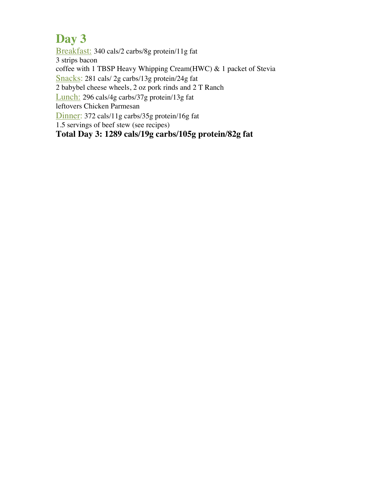Breakfast: 340 cals/2 carbs/8g protein/11g fat 3 strips bacon coffee with 1 TBSP Heavy Whipping Cream(HWC) & 1 packet of Stevia Snacks: 281 cals/ 2g carbs/13g protein/24g fat 2 babybel cheese wheels, 2 oz pork rinds and 2 T Ranch Lunch: 296 cals/4g carbs/37g protein/13g fat leftovers Chicken Parmesan Dinner: 372 cals/11g carbs/35g protein/16g fat 1.5 servings of beef stew (see recipes) **Total Day 3: 1289 cals/19g carbs/105g protein/82g fat**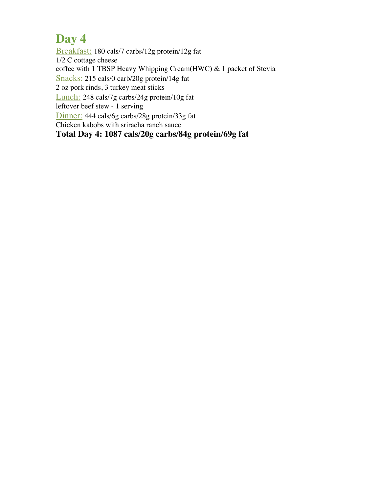Breakfast: 180 cals/7 carbs/12g protein/12g fat 1/2 C cottage cheese coffee with 1 TBSP Heavy Whipping Cream(HWC) & 1 packet of Stevia Snacks: 215 cals/0 carb/20g protein/14g fat 2 oz pork rinds, 3 turkey meat sticks Lunch: 248 cals/7g carbs/24g protein/10g fat leftover beef stew - 1 serving Dinner: 444 cals/6g carbs/28g protein/33g fat Chicken kabobs with sriracha ranch sauce **Total Day 4: 1087 cals/20g carbs/84g protein/69g fat**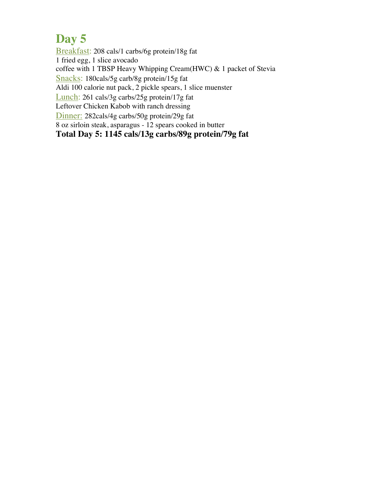Breakfast: 208 cals/1 carbs/6g protein/18g fat 1 fried egg, 1 slice avocado coffee with 1 TBSP Heavy Whipping Cream(HWC) & 1 packet of Stevia Snacks: 180cals/5g carb/8g protein/15g fat Aldi 100 calorie nut pack, 2 pickle spears, 1 slice muenster Lunch: 261 cals/3g carbs/25g protein/17g fat Leftover Chicken Kabob with ranch dressing Dinner: 282cals/4g carbs/50g protein/29g fat 8 oz sirloin steak, asparagus - 12 spears cooked in butter **Total Day 5: 1145 cals/13g carbs/89g protein/79g fat**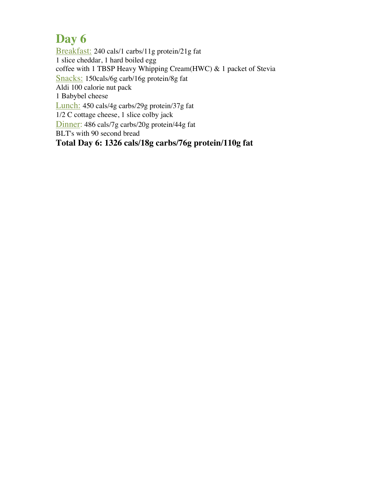Breakfast: 240 cals/1 carbs/11g protein/21g fat 1 slice cheddar, 1 hard boiled egg coffee with 1 TBSP Heavy Whipping Cream(HWC) & 1 packet of Stevia Snacks: 150cals/6g carb/16g protein/8g fat Aldi 100 calorie nut pack 1 Babybel cheese Lunch: 450 cals/4g carbs/29g protein/37g fat 1/2 C cottage cheese, 1 slice colby jack Dinner: 486 cals/7g carbs/20g protein/44g fat BLT's with 90 second bread **Total Day 6: 1326 cals/18g carbs/76g protein/110g fat**